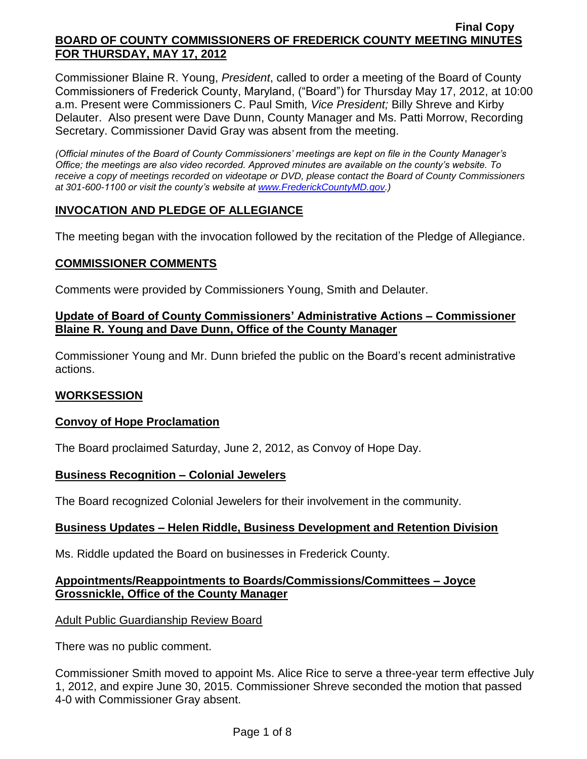Commissioner Blaine R. Young, *President*, called to order a meeting of the Board of County Commissioners of Frederick County, Maryland, ("Board") for Thursday May 17, 2012, at 10:00 a.m. Present were Commissioners C. Paul Smith*, Vice President;* Billy Shreve and Kirby Delauter. Also present were Dave Dunn, County Manager and Ms. Patti Morrow, Recording Secretary. Commissioner David Gray was absent from the meeting.

*(Official minutes of the Board of County Commissioners' meetings are kept on file in the County Manager's Office; the meetings are also video recorded. Approved minutes are available on the county's website. To receive a copy of meetings recorded on videotape or DVD, please contact the Board of County Commissioners at 301-600-1100 or visit the county's website at [www.FrederickCountyMD.gov.](http://www.frederickcountymd.gov/))*

## **INVOCATION AND PLEDGE OF ALLEGIANCE**

The meeting began with the invocation followed by the recitation of the Pledge of Allegiance.

### **COMMISSIONER COMMENTS**

Comments were provided by Commissioners Young, Smith and Delauter.

### **Update of Board of County Commissioners' Administrative Actions – Commissioner Blaine R. Young and Dave Dunn, Office of the County Manager**

Commissioner Young and Mr. Dunn briefed the public on the Board's recent administrative actions.

### **WORKSESSION**

### **Convoy of Hope Proclamation**

The Board proclaimed Saturday, June 2, 2012, as Convoy of Hope Day.

#### **Business Recognition – Colonial Jewelers**

The Board recognized Colonial Jewelers for their involvement in the community.

### **Business Updates – Helen Riddle, Business Development and Retention Division**

Ms. Riddle updated the Board on businesses in Frederick County.

### **Appointments/Reappointments to Boards/Commissions/Committees – Joyce Grossnickle, Office of the County Manager**

### Adult Public Guardianship Review Board

There was no public comment.

Commissioner Smith moved to appoint Ms. Alice Rice to serve a three-year term effective July 1, 2012, and expire June 30, 2015. Commissioner Shreve seconded the motion that passed 4-0 with Commissioner Gray absent.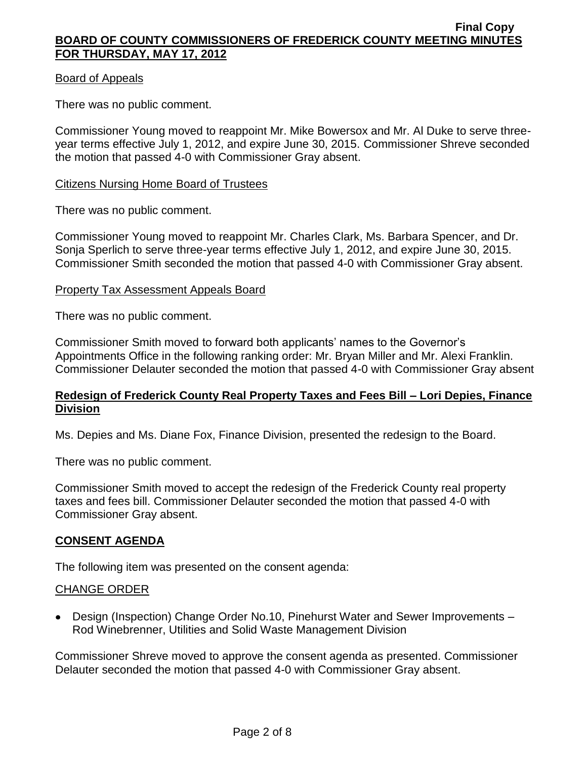#### Board of Appeals

There was no public comment.

Commissioner Young moved to reappoint Mr. Mike Bowersox and Mr. Al Duke to serve threeyear terms effective July 1, 2012, and expire June 30, 2015. Commissioner Shreve seconded the motion that passed 4-0 with Commissioner Gray absent.

#### Citizens Nursing Home Board of Trustees

There was no public comment.

Commissioner Young moved to reappoint Mr. Charles Clark, Ms. Barbara Spencer, and Dr. Sonja Sperlich to serve three-year terms effective July 1, 2012, and expire June 30, 2015. Commissioner Smith seconded the motion that passed 4-0 with Commissioner Gray absent.

#### Property Tax Assessment Appeals Board

There was no public comment.

Commissioner Smith moved to forward both applicants' names to the Governor's Appointments Office in the following ranking order: Mr. Bryan Miller and Mr. Alexi Franklin. Commissioner Delauter seconded the motion that passed 4-0 with Commissioner Gray absent

#### **Redesign of Frederick County Real Property Taxes and Fees Bill – Lori Depies, Finance Division**

Ms. Depies and Ms. Diane Fox, Finance Division, presented the redesign to the Board.

There was no public comment.

Commissioner Smith moved to accept the redesign of the Frederick County real property taxes and fees bill. Commissioner Delauter seconded the motion that passed 4-0 with Commissioner Gray absent.

### **CONSENT AGENDA**

The following item was presented on the consent agenda:

### CHANGE ORDER

Design (Inspection) Change Order No.10, Pinehurst Water and Sewer Improvements – Rod Winebrenner, Utilities and Solid Waste Management Division

Commissioner Shreve moved to approve the consent agenda as presented. Commissioner Delauter seconded the motion that passed 4-0 with Commissioner Gray absent.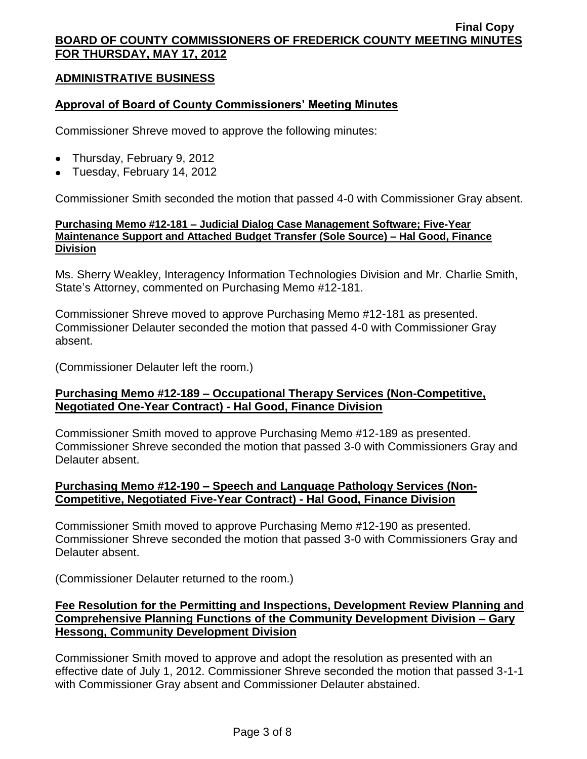## **ADMINISTRATIVE BUSINESS**

### **Approval of Board of County Commissioners' Meeting Minutes**

Commissioner Shreve moved to approve the following minutes:

- Thursday, February 9, 2012
- Tuesday, February 14, 2012

Commissioner Smith seconded the motion that passed 4-0 with Commissioner Gray absent.

#### **Purchasing Memo #12-181 – Judicial Dialog Case Management Software; Five-Year Maintenance Support and Attached Budget Transfer (Sole Source) – Hal Good, Finance Division**

Ms. Sherry Weakley, Interagency Information Technologies Division and Mr. Charlie Smith, State's Attorney, commented on Purchasing Memo #12-181.

Commissioner Shreve moved to approve Purchasing Memo #12-181 as presented. Commissioner Delauter seconded the motion that passed 4-0 with Commissioner Gray absent.

(Commissioner Delauter left the room.)

### **Purchasing Memo #12-189 – Occupational Therapy Services (Non-Competitive, Negotiated One-Year Contract) - Hal Good, Finance Division**

Commissioner Smith moved to approve Purchasing Memo #12-189 as presented. Commissioner Shreve seconded the motion that passed 3-0 with Commissioners Gray and Delauter absent.

### **Purchasing Memo #12-190 – Speech and Language Pathology Services (Non-Competitive, Negotiated Five-Year Contract) - Hal Good, Finance Division**

Commissioner Smith moved to approve Purchasing Memo #12-190 as presented. Commissioner Shreve seconded the motion that passed 3-0 with Commissioners Gray and Delauter absent.

(Commissioner Delauter returned to the room.)

### **Fee Resolution for the Permitting and Inspections, Development Review Planning and Comprehensive Planning Functions of the Community Development Division – Gary Hessong, Community Development Division**

Commissioner Smith moved to approve and adopt the resolution as presented with an effective date of July 1, 2012. Commissioner Shreve seconded the motion that passed 3-1-1 with Commissioner Gray absent and Commissioner Delauter abstained.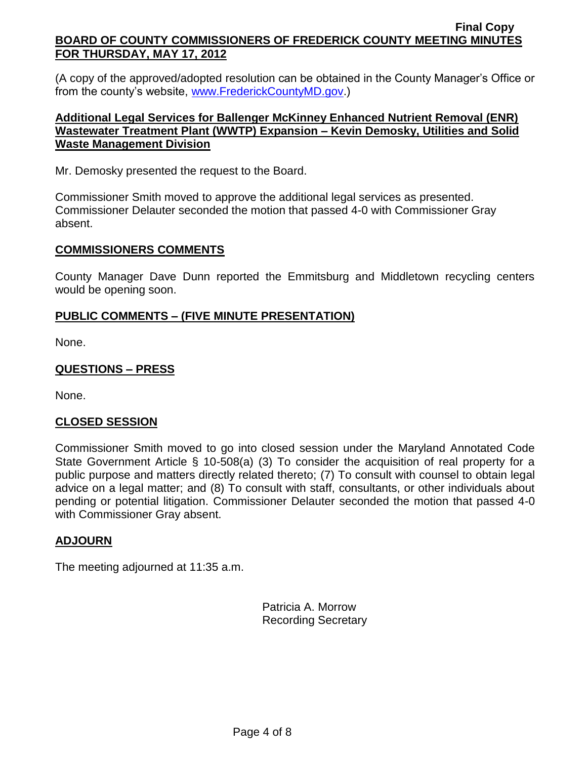(A copy of the approved/adopted resolution can be obtained in the County Manager's Office or from the county's website, [www.FrederickCountyMD.gov.](http://www.frederickcountymd.gov/))

## **Additional Legal Services for Ballenger McKinney Enhanced Nutrient Removal (ENR) Wastewater Treatment Plant (WWTP) Expansion – Kevin Demosky, Utilities and Solid Waste Management Division**

Mr. Demosky presented the request to the Board.

Commissioner Smith moved to approve the additional legal services as presented. Commissioner Delauter seconded the motion that passed 4-0 with Commissioner Gray absent.

### **COMMISSIONERS COMMENTS**

County Manager Dave Dunn reported the Emmitsburg and Middletown recycling centers would be opening soon.

# **PUBLIC COMMENTS – (FIVE MINUTE PRESENTATION)**

None.

## **QUESTIONS – PRESS**

None.

### **CLOSED SESSION**

Commissioner Smith moved to go into closed session under the Maryland Annotated Code State Government Article § 10-508(a) (3) To consider the acquisition of real property for a public purpose and matters directly related thereto; (7) To consult with counsel to obtain legal advice on a legal matter; and (8) To consult with staff, consultants, or other individuals about pending or potential litigation. Commissioner Delauter seconded the motion that passed 4-0 with Commissioner Gray absent.

### **ADJOURN**

The meeting adjourned at 11:35 a.m.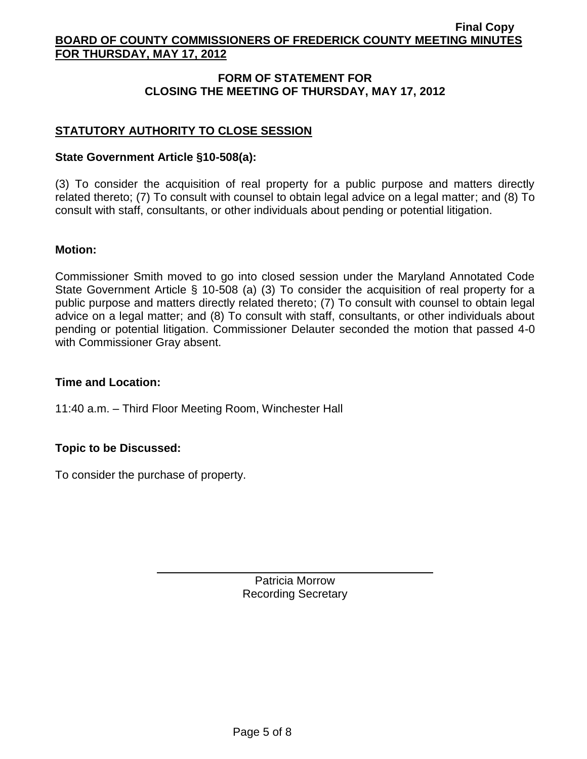## **FORM OF STATEMENT FOR CLOSING THE MEETING OF THURSDAY, MAY 17, 2012**

# **STATUTORY AUTHORITY TO CLOSE SESSION**

#### **State Government Article §10-508(a):**

(3) To consider the acquisition of real property for a public purpose and matters directly related thereto; (7) To consult with counsel to obtain legal advice on a legal matter; and (8) To consult with staff, consultants, or other individuals about pending or potential litigation.

#### **Motion:**

Commissioner Smith moved to go into closed session under the Maryland Annotated Code State Government Article § 10-508 (a) (3) To consider the acquisition of real property for a public purpose and matters directly related thereto; (7) To consult with counsel to obtain legal advice on a legal matter; and (8) To consult with staff, consultants, or other individuals about pending or potential litigation. Commissioner Delauter seconded the motion that passed 4-0 with Commissioner Gray absent.

### **Time and Location:**

11:40 a.m. – Third Floor Meeting Room, Winchester Hall

### **Topic to be Discussed:**

To consider the purchase of property.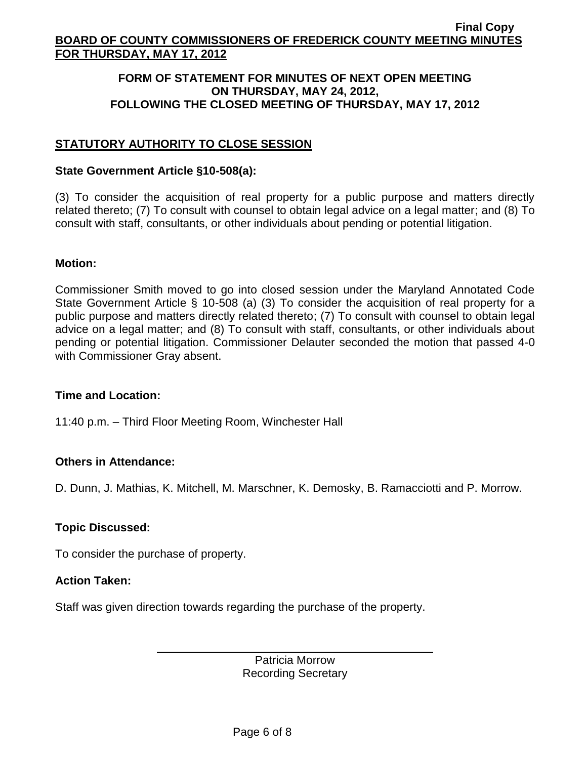#### **FORM OF STATEMENT FOR MINUTES OF NEXT OPEN MEETING ON THURSDAY, MAY 24, 2012, FOLLOWING THE CLOSED MEETING OF THURSDAY, MAY 17, 2012**

# **STATUTORY AUTHORITY TO CLOSE SESSION**

#### **State Government Article §10-508(a):**

(3) To consider the acquisition of real property for a public purpose and matters directly related thereto; (7) To consult with counsel to obtain legal advice on a legal matter; and (8) To consult with staff, consultants, or other individuals about pending or potential litigation.

#### **Motion:**

Commissioner Smith moved to go into closed session under the Maryland Annotated Code State Government Article § 10-508 (a) (3) To consider the acquisition of real property for a public purpose and matters directly related thereto; (7) To consult with counsel to obtain legal advice on a legal matter; and (8) To consult with staff, consultants, or other individuals about pending or potential litigation. Commissioner Delauter seconded the motion that passed 4-0 with Commissioner Gray absent.

### **Time and Location:**

11:40 p.m. – Third Floor Meeting Room, Winchester Hall

### **Others in Attendance:**

D. Dunn, J. Mathias, K. Mitchell, M. Marschner, K. Demosky, B. Ramacciotti and P. Morrow.

### **Topic Discussed:**

To consider the purchase of property.

### **Action Taken:**

Staff was given direction towards regarding the purchase of the property.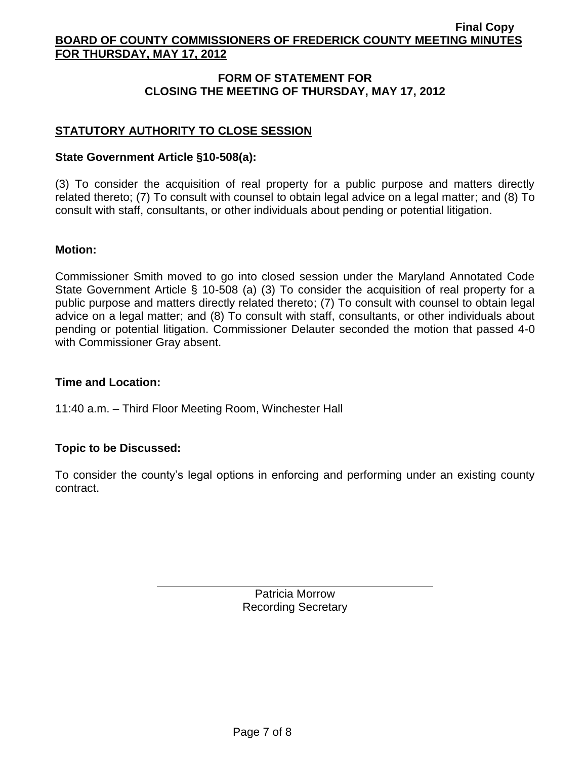## **FORM OF STATEMENT FOR CLOSING THE MEETING OF THURSDAY, MAY 17, 2012**

# **STATUTORY AUTHORITY TO CLOSE SESSION**

#### **State Government Article §10-508(a):**

(3) To consider the acquisition of real property for a public purpose and matters directly related thereto; (7) To consult with counsel to obtain legal advice on a legal matter; and (8) To consult with staff, consultants, or other individuals about pending or potential litigation.

#### **Motion:**

Commissioner Smith moved to go into closed session under the Maryland Annotated Code State Government Article § 10-508 (a) (3) To consider the acquisition of real property for a public purpose and matters directly related thereto; (7) To consult with counsel to obtain legal advice on a legal matter; and (8) To consult with staff, consultants, or other individuals about pending or potential litigation. Commissioner Delauter seconded the motion that passed 4-0 with Commissioner Gray absent.

### **Time and Location:**

11:40 a.m. – Third Floor Meeting Room, Winchester Hall

### **Topic to be Discussed:**

To consider the county's legal options in enforcing and performing under an existing county contract.